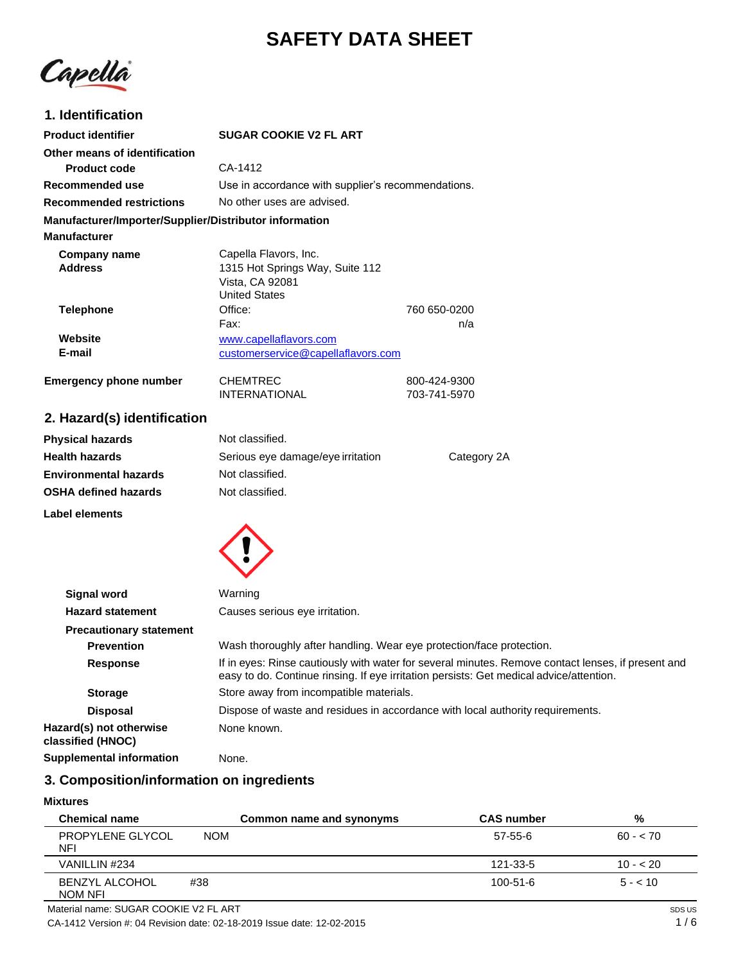# **SAFETY DATA SHEET**

Capellà

## **1. Identification**

| <b>Product identifier</b>                              | <b>SUGAR COOKIE V2 FL ART</b>                                                                                                                                                                 |                                                                                |
|--------------------------------------------------------|-----------------------------------------------------------------------------------------------------------------------------------------------------------------------------------------------|--------------------------------------------------------------------------------|
| Other means of identification                          |                                                                                                                                                                                               |                                                                                |
| <b>Product code</b>                                    | CA-1412                                                                                                                                                                                       |                                                                                |
| Recommended use                                        | Use in accordance with supplier's recommendations.                                                                                                                                            |                                                                                |
| <b>Recommended restrictions</b>                        | No other uses are advised.                                                                                                                                                                    |                                                                                |
| Manufacturer/Importer/Supplier/Distributor information |                                                                                                                                                                                               |                                                                                |
| <b>Manufacturer</b>                                    |                                                                                                                                                                                               |                                                                                |
| Company name<br><b>Address</b>                         | Capella Flavors, Inc.<br>1315 Hot Springs Way, Suite 112<br>Vista, CA 92081<br><b>United States</b>                                                                                           |                                                                                |
| <b>Telephone</b>                                       | Office:                                                                                                                                                                                       | 760 650-0200                                                                   |
|                                                        | Fax:                                                                                                                                                                                          | n/a                                                                            |
| Website                                                | www.capellaflavors.com                                                                                                                                                                        |                                                                                |
| E-mail                                                 | customerservice@capellaflavors.com                                                                                                                                                            |                                                                                |
| <b>Emergency phone number</b>                          | <b>CHEMTREC</b><br><b>INTERNATIONAL</b>                                                                                                                                                       | 800-424-9300<br>703-741-5970                                                   |
| 2. Hazard(s) identification                            |                                                                                                                                                                                               |                                                                                |
| <b>Physical hazards</b>                                | Not classified.                                                                                                                                                                               |                                                                                |
| <b>Health hazards</b>                                  | Serious eye damage/eye irritation                                                                                                                                                             | Category 2A                                                                    |
| <b>Environmental hazards</b>                           | Not classified.                                                                                                                                                                               |                                                                                |
| <b>OSHA defined hazards</b>                            | Not classified.                                                                                                                                                                               |                                                                                |
| Label elements                                         |                                                                                                                                                                                               |                                                                                |
|                                                        |                                                                                                                                                                                               |                                                                                |
| <b>Signal word</b>                                     | Warning                                                                                                                                                                                       |                                                                                |
| <b>Hazard statement</b>                                | Causes serious eye irritation.                                                                                                                                                                |                                                                                |
| <b>Precautionary statement</b>                         |                                                                                                                                                                                               |                                                                                |
| <b>Prevention</b>                                      | Wash thoroughly after handling. Wear eye protection/face protection.                                                                                                                          |                                                                                |
| <b>Response</b>                                        | If in eyes: Rinse cautiously with water for several minutes. Remove contact lenses, if present and<br>easy to do. Continue rinsing. If eye irritation persists: Get medical advice/attention. |                                                                                |
| <b>Storage</b>                                         | Store away from incompatible materials.                                                                                                                                                       |                                                                                |
| <b>Disposal</b>                                        |                                                                                                                                                                                               | Dispose of waste and residues in accordance with local authority requirements. |
| Hazard(s) not otherwise<br>classified (HNOC)           | None known.                                                                                                                                                                                   |                                                                                |

**Supplemental information** None.

## **3. Composition/information on ingredients**

## **Mixtures**

| <b>Chemical name</b>             | Common name and synonyms | <b>CAS number</b> | %         |
|----------------------------------|--------------------------|-------------------|-----------|
| PROPYLENE GLYCOL<br><b>NFI</b>   | <b>NOM</b>               | 57-55-6           | $60 - 70$ |
| VANILLIN #234                    |                          | 121-33-5          | $10 - 20$ |
| <b>BENZYL ALCOHOL</b><br>NOM NFI | #38                      | $100 - 51 - 6$    | $5 - 10$  |

CA-1412 Version #: 04 Revision date: 02-18-2019 Issue date: 12-02-2015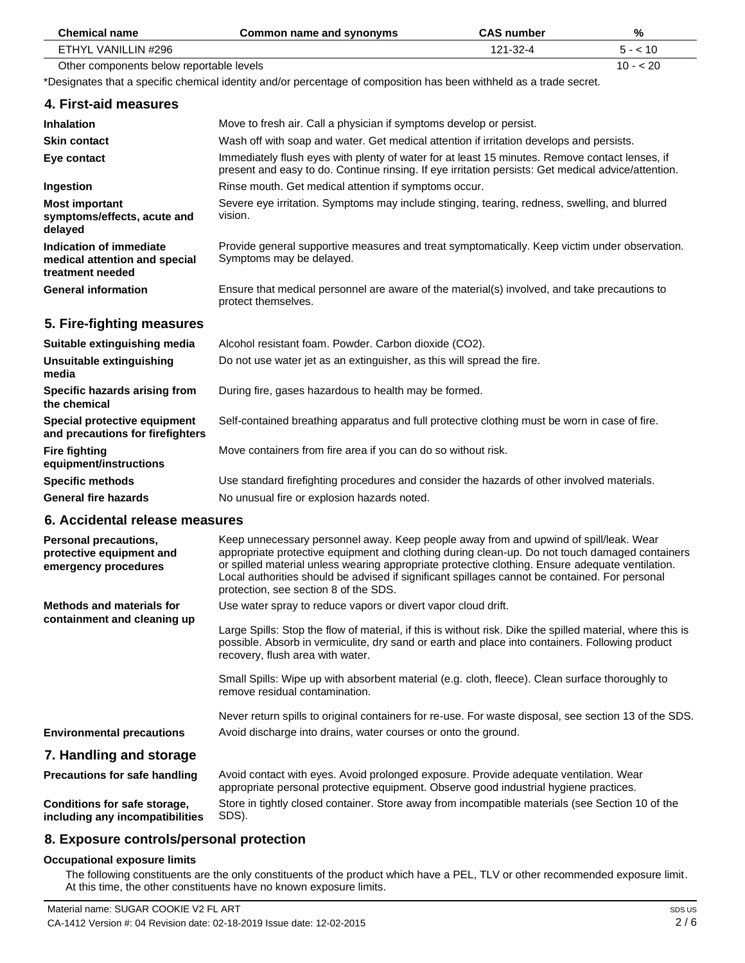| <b>Chemical name</b>                                                             | <b>Common name and synonyms</b>                                                                                                                                                                                                                                                                                                                                                                                                        | <b>CAS number</b> | %         |
|----------------------------------------------------------------------------------|----------------------------------------------------------------------------------------------------------------------------------------------------------------------------------------------------------------------------------------------------------------------------------------------------------------------------------------------------------------------------------------------------------------------------------------|-------------------|-----------|
| ETHYL VANILLIN #296                                                              |                                                                                                                                                                                                                                                                                                                                                                                                                                        | 121-32-4          | $5 - 10$  |
| Other components below reportable levels                                         |                                                                                                                                                                                                                                                                                                                                                                                                                                        |                   | $10 - 20$ |
|                                                                                  | *Designates that a specific chemical identity and/or percentage of composition has been withheld as a trade secret.                                                                                                                                                                                                                                                                                                                    |                   |           |
| 4. First-aid measures                                                            |                                                                                                                                                                                                                                                                                                                                                                                                                                        |                   |           |
| <b>Inhalation</b>                                                                | Move to fresh air. Call a physician if symptoms develop or persist.                                                                                                                                                                                                                                                                                                                                                                    |                   |           |
| <b>Skin contact</b>                                                              | Wash off with soap and water. Get medical attention if irritation develops and persists.                                                                                                                                                                                                                                                                                                                                               |                   |           |
| Eye contact                                                                      | Immediately flush eyes with plenty of water for at least 15 minutes. Remove contact lenses, if<br>present and easy to do. Continue rinsing. If eye irritation persists: Get medical advice/attention.                                                                                                                                                                                                                                  |                   |           |
| Ingestion                                                                        | Rinse mouth. Get medical attention if symptoms occur.                                                                                                                                                                                                                                                                                                                                                                                  |                   |           |
| <b>Most important</b><br>symptoms/effects, acute and<br>delayed                  | Severe eye irritation. Symptoms may include stinging, tearing, redness, swelling, and blurred<br>vision.                                                                                                                                                                                                                                                                                                                               |                   |           |
| Indication of immediate<br>medical attention and special<br>treatment needed     | Provide general supportive measures and treat symptomatically. Keep victim under observation.<br>Symptoms may be delayed.                                                                                                                                                                                                                                                                                                              |                   |           |
| <b>General information</b>                                                       | Ensure that medical personnel are aware of the material(s) involved, and take precautions to<br>protect themselves.                                                                                                                                                                                                                                                                                                                    |                   |           |
| 5. Fire-fighting measures                                                        |                                                                                                                                                                                                                                                                                                                                                                                                                                        |                   |           |
| Suitable extinguishing media                                                     | Alcohol resistant foam. Powder. Carbon dioxide (CO2).                                                                                                                                                                                                                                                                                                                                                                                  |                   |           |
| <b>Unsuitable extinguishing</b><br>media                                         | Do not use water jet as an extinguisher, as this will spread the fire.                                                                                                                                                                                                                                                                                                                                                                 |                   |           |
| Specific hazards arising from<br>the chemical                                    | During fire, gases hazardous to health may be formed.                                                                                                                                                                                                                                                                                                                                                                                  |                   |           |
| Special protective equipment<br>and precautions for firefighters                 | Self-contained breathing apparatus and full protective clothing must be worn in case of fire.                                                                                                                                                                                                                                                                                                                                          |                   |           |
| <b>Fire fighting</b><br>equipment/instructions                                   | Move containers from fire area if you can do so without risk.                                                                                                                                                                                                                                                                                                                                                                          |                   |           |
| <b>Specific methods</b>                                                          | Use standard firefighting procedures and consider the hazards of other involved materials.                                                                                                                                                                                                                                                                                                                                             |                   |           |
| <b>General fire hazards</b>                                                      | No unusual fire or explosion hazards noted.                                                                                                                                                                                                                                                                                                                                                                                            |                   |           |
| 6. Accidental release measures                                                   |                                                                                                                                                                                                                                                                                                                                                                                                                                        |                   |           |
| <b>Personal precautions,</b><br>protective equipment and<br>emergency procedures | Keep unnecessary personnel away. Keep people away from and upwind of spill/leak. Wear<br>appropriate protective equipment and clothing during clean-up. Do not touch damaged containers<br>or spilled material unless wearing appropriate protective clothing. Ensure adequate ventilation.<br>Local authorities should be advised if significant spillages cannot be contained. For personal<br>protection, see section 8 of the SDS. |                   |           |
| <b>Methods and materials for</b>                                                 | Use water spray to reduce vapors or divert vapor cloud drift.                                                                                                                                                                                                                                                                                                                                                                          |                   |           |
| containment and cleaning up                                                      | Large Spills: Stop the flow of material, if this is without risk. Dike the spilled material, where this is<br>possible. Absorb in vermiculite, dry sand or earth and place into containers. Following product<br>recovery, flush area with water.                                                                                                                                                                                      |                   |           |
|                                                                                  | Small Spills: Wipe up with absorbent material (e.g. cloth, fleece). Clean surface thoroughly to<br>remove residual contamination.                                                                                                                                                                                                                                                                                                      |                   |           |
| <b>Environmental precautions</b>                                                 | Never return spills to original containers for re-use. For waste disposal, see section 13 of the SDS.<br>Avoid discharge into drains, water courses or onto the ground.                                                                                                                                                                                                                                                                |                   |           |
| 7. Handling and storage                                                          |                                                                                                                                                                                                                                                                                                                                                                                                                                        |                   |           |
|                                                                                  |                                                                                                                                                                                                                                                                                                                                                                                                                                        |                   |           |
| <b>Precautions for safe handling</b>                                             | Avoid contact with eyes. Avoid prolonged exposure. Provide adequate ventilation. Wear<br>appropriate personal protective equipment. Observe good industrial hygiene practices.                                                                                                                                                                                                                                                         |                   |           |
| Conditions for safe storage,<br>including any incompatibilities                  | Store in tightly closed container. Store away from incompatible materials (see Section 10 of the<br>SDS).                                                                                                                                                                                                                                                                                                                              |                   |           |

# **8. Exposure controls/personal protection**

#### **Occupational exposure limits**

The following constituents are the only constituents of the product which have a PEL, TLV or other recommended exposure limit. At this time, the other constituents have no known exposure limits.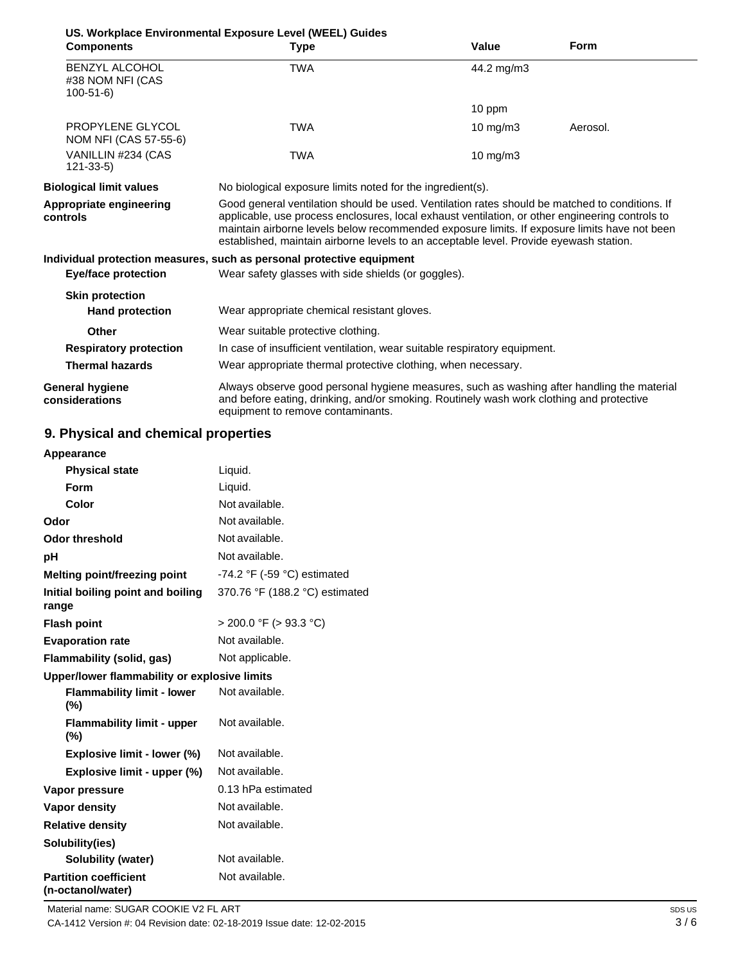|                                                             | US. Workplace Environmental Exposure Level (WEEL) Guides                                                                                                                                                                                                                                                                                                                                    |                   |             |
|-------------------------------------------------------------|---------------------------------------------------------------------------------------------------------------------------------------------------------------------------------------------------------------------------------------------------------------------------------------------------------------------------------------------------------------------------------------------|-------------------|-------------|
| <b>Components</b>                                           | <b>Type</b>                                                                                                                                                                                                                                                                                                                                                                                 | Value             | <b>Form</b> |
| <b>BENZYL ALCOHOL</b><br>#38 NOM NFI (CAS<br>$100 - 51 - 6$ | TWA                                                                                                                                                                                                                                                                                                                                                                                         | 44.2 mg/m3        |             |
|                                                             |                                                                                                                                                                                                                                                                                                                                                                                             | 10 ppm            |             |
| PROPYLENE GLYCOL<br>NOM NFI (CAS 57-55-6)                   | TWA                                                                                                                                                                                                                                                                                                                                                                                         | $10 \text{ mg/m}$ | Aerosol.    |
| VANILLIN #234 (CAS<br>$121 - 33 - 5$                        | TWA                                                                                                                                                                                                                                                                                                                                                                                         | $10 \text{ mg/m}$ |             |
| <b>Biological limit values</b>                              | No biological exposure limits noted for the ingredient(s).                                                                                                                                                                                                                                                                                                                                  |                   |             |
| Appropriate engineering<br>controls                         | Good general ventilation should be used. Ventilation rates should be matched to conditions. If<br>applicable, use process enclosures, local exhaust ventilation, or other engineering controls to<br>maintain airborne levels below recommended exposure limits. If exposure limits have not been<br>established, maintain airborne levels to an acceptable level. Provide eyewash station. |                   |             |
|                                                             | Individual protection measures, such as personal protective equipment                                                                                                                                                                                                                                                                                                                       |                   |             |
| <b>Eye/face protection</b>                                  | Wear safety glasses with side shields (or goggles).                                                                                                                                                                                                                                                                                                                                         |                   |             |
| <b>Skin protection</b>                                      |                                                                                                                                                                                                                                                                                                                                                                                             |                   |             |
| <b>Hand protection</b>                                      | Wear appropriate chemical resistant gloves.                                                                                                                                                                                                                                                                                                                                                 |                   |             |
| Other                                                       | Wear suitable protective clothing.                                                                                                                                                                                                                                                                                                                                                          |                   |             |
| <b>Respiratory protection</b>                               | In case of insufficient ventilation, wear suitable respiratory equipment.                                                                                                                                                                                                                                                                                                                   |                   |             |
| <b>Thermal hazards</b>                                      | Wear appropriate thermal protective clothing, when necessary.                                                                                                                                                                                                                                                                                                                               |                   |             |
| General hygiene<br>considerations                           | Always observe good personal hygiene measures, such as washing after handling the material<br>and before eating, drinking, and/or smoking. Routinely wash work clothing and protective<br>equipment to remove contaminants.                                                                                                                                                                 |                   |             |

# **9. Physical and chemical properties**

| Appearance                                        |                                |  |
|---------------------------------------------------|--------------------------------|--|
| <b>Physical state</b>                             | Liquid.                        |  |
| Form                                              | Liquid.                        |  |
| Color                                             | Not available.                 |  |
| Odor                                              | Not available.                 |  |
| <b>Odor threshold</b>                             | Not available.                 |  |
| рH                                                | Not available.                 |  |
| Melting point/freezing point                      | -74.2 °F (-59 °C) estimated    |  |
| Initial boiling point and boiling<br>range        | 370.76 °F (188.2 °C) estimated |  |
| <b>Flash point</b>                                | $>$ 200.0 °F ( $>$ 93.3 °C)    |  |
| <b>Evaporation rate</b>                           | Not available.                 |  |
| Flammability (solid, gas)                         | Not applicable.                |  |
| Upper/lower flammability or explosive limits      |                                |  |
| <b>Flammability limit - lower</b><br>$(\%)$       | Not available.                 |  |
| <b>Flammability limit - upper</b><br>$(\% )$      | Not available.                 |  |
| Explosive limit - lower (%)                       | Not available.                 |  |
| Explosive limit - upper (%)                       | Not available.                 |  |
| Vapor pressure                                    | 0.13 hPa estimated             |  |
| <b>Vapor density</b>                              | Not available.                 |  |
| <b>Relative density</b>                           | Not available.                 |  |
| Solubility(ies)                                   |                                |  |
| Solubility (water)                                | Not available.                 |  |
| <b>Partition coefficient</b><br>(n-octanol/water) | Not available.                 |  |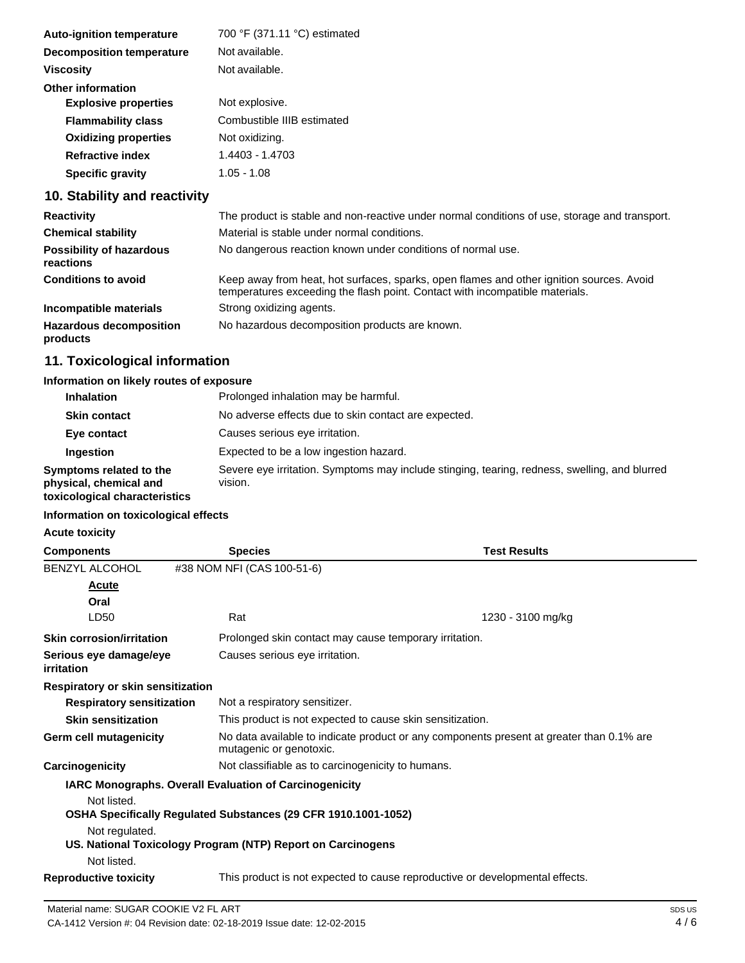| <b>Auto-ignition temperature</b> | 700 °F (371.11 °C) estimated |
|----------------------------------|------------------------------|
| <b>Decomposition temperature</b> | Not available.               |
| <b>Viscosity</b>                 | Not available.               |
| <b>Other information</b>         |                              |
| <b>Explosive properties</b>      | Not explosive.               |
| <b>Flammability class</b>        | Combustible IIIB estimated   |
| <b>Oxidizing properties</b>      | Not oxidizing.               |
| <b>Refractive index</b>          | 1.4403 - 1.4703              |
| <b>Specific gravity</b>          | $1.05 - 1.08$                |
|                                  |                              |

# **10. Stability and reactivity**

| <b>Reactivity</b>                            | The product is stable and non-reactive under normal conditions of use, storage and transport.                                                                            |
|----------------------------------------------|--------------------------------------------------------------------------------------------------------------------------------------------------------------------------|
| <b>Chemical stability</b>                    | Material is stable under normal conditions.                                                                                                                              |
| <b>Possibility of hazardous</b><br>reactions | No dangerous reaction known under conditions of normal use.                                                                                                              |
| <b>Conditions to avoid</b>                   | Keep away from heat, hot surfaces, sparks, open flames and other ignition sources. Avoid<br>temperatures exceeding the flash point. Contact with incompatible materials. |
| Incompatible materials                       | Strong oxidizing agents.                                                                                                                                                 |
| <b>Hazardous decomposition</b><br>products   | No hazardous decomposition products are known.                                                                                                                           |

# **11. Toxicological information**

## **Information on likely routes of exposure**

| <b>Inhalation</b>                                                                  | Prolonged inhalation may be harmful.                                                                     |
|------------------------------------------------------------------------------------|----------------------------------------------------------------------------------------------------------|
| <b>Skin contact</b>                                                                | No adverse effects due to skin contact are expected.                                                     |
| Eye contact                                                                        | Causes serious eye irritation.                                                                           |
| Ingestion                                                                          | Expected to be a low ingestion hazard.                                                                   |
| Symptoms related to the<br>physical, chemical and<br>toxicological characteristics | Severe eye irritation. Symptoms may include stinging, tearing, redness, swelling, and blurred<br>vision. |

#### **Information on toxicological effects**

**Acute toxicity**

| <b>Components</b>                    | <b>Species</b>                                                 | <b>Test Results</b>                                                                      |  |  |
|--------------------------------------|----------------------------------------------------------------|------------------------------------------------------------------------------------------|--|--|
| <b>BENZYL ALCOHOL</b>                | #38 NOM NFI (CAS 100-51-6)                                     |                                                                                          |  |  |
| <b>Acute</b>                         |                                                                |                                                                                          |  |  |
| Oral                                 |                                                                |                                                                                          |  |  |
| LD50                                 | Rat                                                            | 1230 - 3100 mg/kg                                                                        |  |  |
| <b>Skin corrosion/irritation</b>     |                                                                | Prolonged skin contact may cause temporary irritation.                                   |  |  |
| Serious eye damage/eye<br>irritation | Causes serious eye irritation.                                 |                                                                                          |  |  |
| Respiratory or skin sensitization    |                                                                |                                                                                          |  |  |
| <b>Respiratory sensitization</b>     | Not a respiratory sensitizer.                                  |                                                                                          |  |  |
| <b>Skin sensitization</b>            |                                                                | This product is not expected to cause skin sensitization.                                |  |  |
| Germ cell mutagenicity               | mutagenic or genotoxic.                                        | No data available to indicate product or any components present at greater than 0.1% are |  |  |
| Carcinogenicity                      |                                                                | Not classifiable as to carcinogenicity to humans.                                        |  |  |
|                                      | <b>IARC Monographs. Overall Evaluation of Carcinogenicity</b>  |                                                                                          |  |  |
| Not listed.                          | OSHA Specifically Regulated Substances (29 CFR 1910.1001-1052) |                                                                                          |  |  |
| Not regulated.                       | US. National Toxicology Program (NTP) Report on Carcinogens    |                                                                                          |  |  |
| Not listed.                          |                                                                |                                                                                          |  |  |
| <b>Reproductive toxicity</b>         |                                                                | This product is not expected to cause reproductive or developmental effects.             |  |  |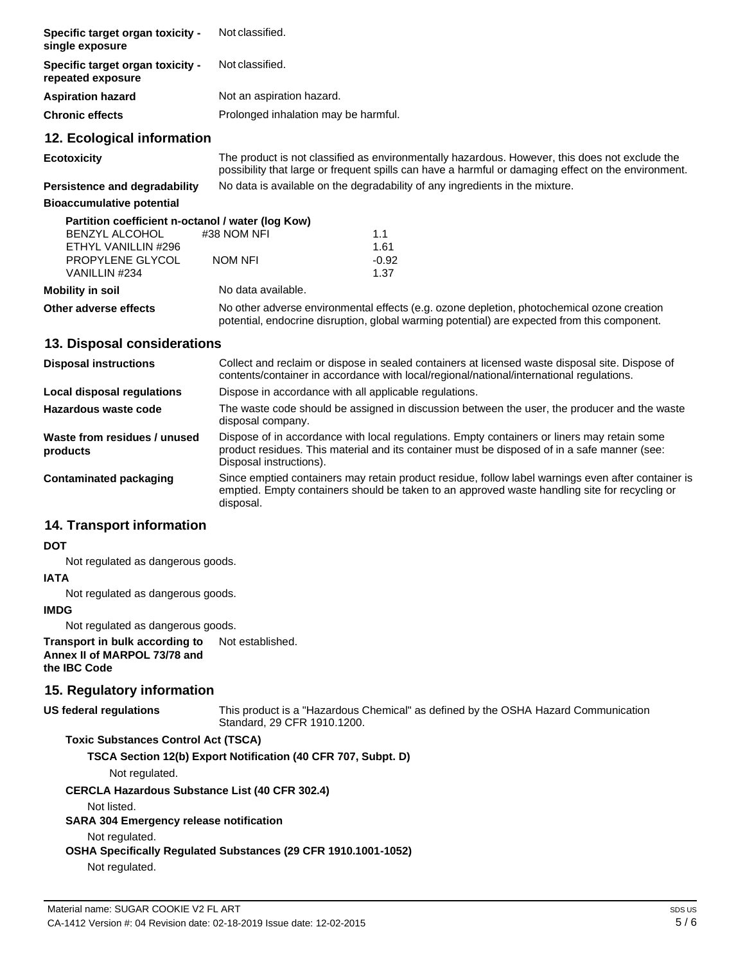| Specific target organ toxicity -<br>single exposure   | Not classified.                      |                                                                                                                                                                                                       |
|-------------------------------------------------------|--------------------------------------|-------------------------------------------------------------------------------------------------------------------------------------------------------------------------------------------------------|
| Specific target organ toxicity -<br>repeated exposure | Not classified.                      |                                                                                                                                                                                                       |
| <b>Aspiration hazard</b>                              | Not an aspiration hazard.            |                                                                                                                                                                                                       |
| Chronic effects                                       | Prolonged inhalation may be harmful. |                                                                                                                                                                                                       |
| 12. Ecological information                            |                                      |                                                                                                                                                                                                       |
| Ecotoxicity                                           |                                      | The product is not classified as environmentally hazardous. However, this does not exclude the<br>possibility that large or frequent spills can have a harmful or damaging effect on the environment. |
| <b>Persistence and degradability</b>                  |                                      | No data is available on the degradability of any ingredients in the mixture.                                                                                                                          |
| <b>Bioaccumulative potential</b>                      |                                      |                                                                                                                                                                                                       |
| Partition coefficient n-octanol / water (log Kow)     |                                      |                                                                                                                                                                                                       |
| <b>BENZYL ALCOHOL</b>                                 | #38 NOM NFI                          | 1.1                                                                                                                                                                                                   |
| ETHYL VANILLIN #296                                   |                                      | 1.61                                                                                                                                                                                                  |
| <b>PROPYLENE GLYCOL</b>                               | <b>NOM NFI</b>                       | $-0.92$                                                                                                                                                                                               |
| VANILLIN #234                                         |                                      | 1.37                                                                                                                                                                                                  |
| <b>Mobility in soil</b>                               | No data available.                   |                                                                                                                                                                                                       |
| Other adverse effects                                 |                                      | No other adverse environmental effects (e.g. ozone depletion, photochemical ozone creation<br>potential, endocrine disruption, global warming potential) are expected from this component.            |
|                                                       |                                      |                                                                                                                                                                                                       |

#### **13. Disposal considerations**

| <b>Disposal instructions</b>             | Collect and reclaim or dispose in sealed containers at licensed waste disposal site. Dispose of<br>contents/container in accordance with local/regional/national/international regulations.                            |
|------------------------------------------|------------------------------------------------------------------------------------------------------------------------------------------------------------------------------------------------------------------------|
| Local disposal regulations               | Dispose in accordance with all applicable regulations.                                                                                                                                                                 |
| Hazardous waste code                     | The waste code should be assigned in discussion between the user, the producer and the waste<br>disposal company.                                                                                                      |
| Waste from residues / unused<br>products | Dispose of in accordance with local regulations. Empty containers or liners may retain some<br>product residues. This material and its container must be disposed of in a safe manner (see:<br>Disposal instructions). |
| Contaminated packaging                   | Since emptied containers may retain product residue, follow label warnings even after container is<br>emptied. Empty containers should be taken to an approved waste handling site for recycling or<br>disposal.       |

### **14. Transport information**

#### **DOT**

Not regulated as dangerous goods.

#### **IATA**

Not regulated as dangerous goods.

#### **IMDG**

Not regulated as dangerous goods.

**Transport in bulk according to Annex II of MARPOL 73/78 and the IBC Code** Not established.

## **15. Regulatory information**

## **US federal regulations**

This product is a "Hazardous Chemical" as defined by the OSHA Hazard Communication Standard, 29 CFR 1910.1200.

## **Toxic Substances Control Act (TSCA)**

**TSCA Section 12(b) Export Notification (40 CFR 707, Subpt. D)**

Not regulated.

#### **CERCLA Hazardous Substance List (40 CFR 302.4)**

Not listed.

## **SARA 304 Emergency release notification**

Not regulated.

# **OSHA Specifically Regulated Substances (29 CFR 1910.1001-1052)**

Not regulated.